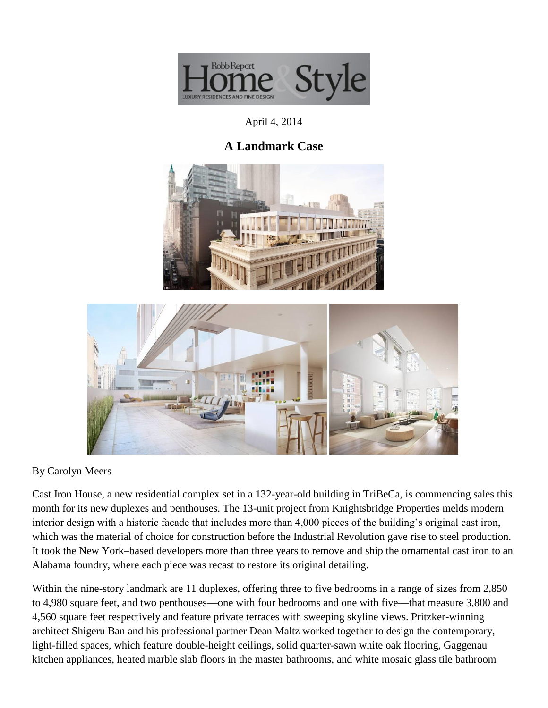

April 4, 2014

## **A Landmark Case**





## By Carolyn Meers

Cast Iron House, a new residential complex set in a 132-year-old building in TriBeCa, is commencing sales this month for its new duplexes and penthouses. The 13-unit project from Knightsbridge Properties melds modern interior design with a historic facade that includes more than 4,000 pieces of the building's original cast iron, which was the material of choice for construction before the Industrial Revolution gave rise to steel production. It took the New York–based developers more than three years to remove and ship the ornamental cast iron to an Alabama foundry, where each piece was recast to restore its original detailing.

Within the nine-story landmark are 11 duplexes, offering three to five bedrooms in a range of sizes from 2,850 to 4,980 square feet, and two penthouses—one with four bedrooms and one with five—that measure 3,800 and 4,560 square feet respectively and feature private terraces with sweeping skyline views. Pritzker-winning architect Shigeru Ban and his professional partner Dean Maltz worked together to design the contemporary, light-filled spaces, which feature double-height ceilings, solid quarter-sawn white oak flooring, Gaggenau kitchen appliances, heated marble slab floors in the master bathrooms, and white mosaic glass tile bathroom